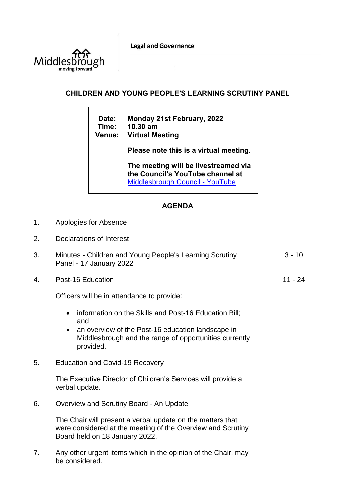**Legal and Governance** 



## **CHILDREN AND YOUNG PEOPLE'S LEARNING SCRUTINY PANEL**

**Date: Monday 21st February, 2022 Time: 10.30 am Venue: Virtual Meeting**

**Please note this is a virtual meeting.** 

**The meeting will be livestreamed via the Council's YouTube channel at**  [Middlesbrough Council -](https://www.youtube.com/user/middlesbroughcouncil) YouTube

11 - 24

## **AGENDA**

- 1. Apologies for Absence
- 2. Declarations of Interest

| Minutes - Children and Young People's Learning Scrutiny | 3 - 10 |
|---------------------------------------------------------|--------|
| Panel - 17 January 2022                                 |        |

4. Post-16 Education

Officers will be in attendance to provide:

- information on the Skills and Post-16 Education Bill; and
- an overview of the Post-16 education landscape in Middlesbrough and the range of opportunities currently provided.
- 5. Education and Covid-19 Recovery

The Executive Director of Children's Services will provide a verbal update.

6. Overview and Scrutiny Board - An Update

The Chair will present a verbal update on the matters that were considered at the meeting of the Overview and Scrutiny Board held on 18 January 2022.

7. Any other urgent items which in the opinion of the Chair, may be considered.